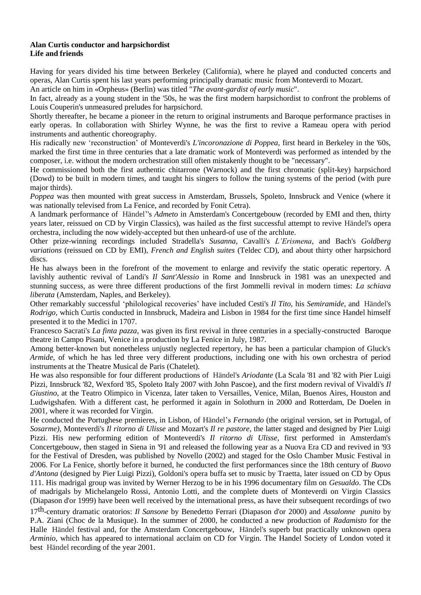## **Alan Curtis conductor and harpsichordist Life and friends**

Having for years divided his time between Berkeley (California), where he played and conducted concerts and operas, Alan Curtis spent his last years performing principally dramatic music from Monteverdi to Mozart.

An article on him in «Orpheus» (Berlin) was titled "*The avant-gardist of early music*".

In fact, already as a young student in the '50s, he was the first modern harpsichordist to confront the problems of Louis Couperin's unmeasured preludes for harpsichord.

Shortly thereafter, he became a pioneer in the return to original instruments and Baroque performance practises in early operas. In collaboration with Shirley Wynne, he was the first to revive a Rameau opera with period instruments and authentic choreography.

His radically new 'reconstruction' of Monteverdi's *L'incoronazione di Poppea*, first heard in Berkeley in the '60s, marked the first time in three centuries that a late dramatic work of Monteverdi was performed as intended by the composer, i.e. without the modern orchestration still often mistakenly thought to be "necessary".

He commissioned both the first authentic chitarrone (Warnock) and the first chromatic (split-key) harpsichord (Dowd) to be built in modern times, and taught his singers to follow the tuning systems of the period (with pure major thirds).

*Poppea* was then mounted with great success in Amsterdam, Brussels, Spoleto, Innsbruck and Venice (where it was nationally televised from La Fenice, and recorded by Fonit Cetra).

A landmark performance of Händel''s *Admeto* in Amsterdam's Concertgebouw (recorded by EMI and then, thirty years later, reissued on CD by Virgin Classics), was hailed as the first successful attempt to revive Händel's opera orchestra, including the now widely-accepted but then unheard-of use of the archlute.

Other prize-winning recordings included Stradella's *Susanna*, Cavalli's *L'Erismena*, and Bach's *Goldberg variations* (reissued on CD by EMI), *French and English suites* (Teldec CD), and about thirty other harpsichord discs.

He has always been in the forefront of the movement to enlarge and revivify the static operatic repertory. A lavishly authentic revival of Landi's *Il Sant'Alessio* in Rome and Innsbruck in 1981 was an unexpected and stunning success, as were three different productions of the first Jommelli revival in modern times: *La schiava liberata* (Amsterdam, Naples, and Berkeley).

Other remarkably successful 'philological recoveries' have included Cesti's *Il Tito*, his *Semiramide*, and Händel's *Rodrigo*, which Curtis conducted in Innsbruck, Madeira and Lisbon in 1984 for the first time since Handel himself presented it to the Medici in 1707.

Francesco Sacrati's *La finta pazza*, was given its first revival in three centuries in a specially-constructed Baroque theatre in Campo Pisani, Venice in a production by La Fenice in July, 1987.

Among better-known but nonetheless unjustly neglected repertory, he has been a particular champion of Gluck's *Armide*, of which he has led three very different productions, including one with his own orchestra of period instruments at the Theatre Musical de Paris (Chatelet).

He was also responsible for four different productions of Händel's *Ariodante* (La Scala '81 and '82 with Pier Luigi Pizzi, Innsbruck '82, Wexford '85, Spoleto Italy 2007 with John Pascoe), and the first modern revival of Vivaldi's *Il Giustino*, at the Teatro Olimpico in Vicenza, later taken to Versailles, Venice, Milan, Buenos Aires, Houston and Ludwigshafen. With a different cast, he performed it again in Solothurn in 2000 and Rotterdam, De Doelen in 2001, where it was recorded for Virgin.

He conducted the Portughese premieres, in Lisbon, of Händel's *Fernando* (the original version, set in Portugal, of *Sosarme),* Monteverdi's *Il ritorno di Ulisse* and Mozart's *Il re pastore*, the latter staged and designed by Pier Luigi Pizzi. His new performing edition of Monteverdi's *Il ritorno di Ulisse*, first performed in Amsterdam's Concertgebouw, then staged in Siena in '91 and released the following year as a Nuova Era CD and revived in '93 for the Festival of Dresden, was published by Novello (2002) and staged for the Oslo Chamber Music Festival in 2006. For La Fenice, shortly before it burned, he conducted the first performances since the 18th century of *Buovo d'Antona* (designed by Pier Luigi Pizzi), Goldoni's opera buffa set to music by Traetta, later issued on CD by Opus 111. His madrigal group was invited by Werner Herzog to be in his 1996 documentary film on *Gesualdo*. The CDs of madrigals by Michelangelo Rossi, Antonio Lotti, and the complete duets of Monteverdi on Virgin Classics (Diapason d'or 1999) have been well received by the international press, as have their subsequent recordings of two

17th-century dramatic oratorios: *Il Sansone* by Benedetto Ferrari (Diapason d'or 2000) and *Assalonne punito* by P.A. Ziani (Choc de la Musique). In the summer of 2000, he conducted a new production of *Radamisto* for the Halle Händel festival and, for the Amsterdam Concertgebouw, Händel's superb but practically unknown opera *Arminio*, which has appeared to international acclaim on CD for Virgin. The Handel Society of London voted it best Händel recording of the year 2001.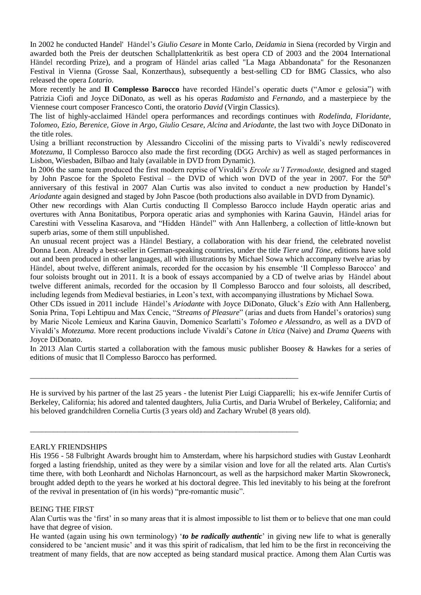In 2002 he conducted Handel' Händel's *Giulio Cesare* in Monte Carlo, *Deidamia* in Siena (recorded by Virgin and awarded both the Preis der deutschen Schallplattenkritik as best opera CD of 2003 and the 2004 International Händel recording Prize), and a program of Händel arias called "La Maga Abbandonata" for the Resonanzen Festival in Vienna (Grosse Saal, Konzerthaus), subsequently a best-selling CD for BMG Classics, who also released the opera *Lotario*.

More recently he and **Il Complesso Barocco** have recorded Händel's operatic duets ("Amor e gelosia") with Patrizia Ciofi and Joyce DiDonato, as well as his operas *Radamisto* and *Fernando,* and a masterpiece by the Viennese court composer Francesco Conti, the oratorio *David* (Virgin Classics).

The list of highly-acclaimed Händel opera performances and recordings continues with *Rodelinda, Floridante, Tolomeo, Ezio, Berenice, Giove in Argo*, *Giulio Cesare*, *Alcina* and *Ariodante*, the last two with Joyce DiDonato in the title roles.

Using a brilliant reconstruction by Alessandro Ciccolini of the missing parts to Vivaldi's newly rediscovered *Motezuma*, Il Complesso Barocco also made the first recording (DGG Archiv) as well as staged performances in Lisbon, Wiesbaden, Bilbao and Italy (available in DVD from Dynamic).

In 2006 the same team produced the first modern reprise of Vivaldi's *Ercole su'l Termodonte,* designed and staged by John Pascoe for the Spoleto Festival – the DVD of which won DVD of the year in 2007. For the 50<sup>th</sup> anniversary of this festival in 2007 Alan Curtis was also invited to conduct a new production by Handel's *Ariodante* again designed and staged by John Pascoe (both productions also available in DVD from Dynamic).

Other new recordings with Alan Curtis conducting Il Complesso Barocco include Haydn operatic arias and overtures with Anna Bonitatibus, Porpora operatic arias and symphonies with Karina Gauvin, Händel arias for Carestini with Vesselina Kasarova, and "Hidden Händel" with Ann Hallenberg, a collection of little-known but superb arias, some of them still unpublished.

An unusual recent project was a Händel Bestiary, a collaboration with his dear friend, the celebrated novelist Donna Leon. Already a best-seller in German-speaking countries, under the title *Tiere und Töne*, editions have sold out and been produced in other languages, all with illustrations by Michael Sowa which accompany twelve arias by Händel, about twelve, different animals, recorded for the occasion by his ensemble 'Il Complesso Barocco' and four soloists brought out in 2011. It is a book of essays accompanied by a CD of twelve arias by Händel about twelve different animals, recorded for the occasion by Il Complesso Barocco and four soloists, all described, including legends from Medieval bestiaries, in Leon's text, with accompanying illustrations by Michael Sowa.

Other CDs issued in 2011 include Händel's *Ariodante* with Joyce DiDonato, Gluck's *Ezio* with Ann Hallenberg, Sonia Prina, Topi Lehtipuu and Max Cencic, "*Streams of Pleasure*" (arias and duets from Handel's oratorios) sung by Marie Nicole Lemieux and Karina Gauvin, Domenico Scarlatti's *Tolomeo e Alessandro*, as well as a DVD of Vivaldi's *Motezuma*. More recent productions include Vivaldi's *Catone in Utica* (Naive) and *Drama Queens* with Joyce DiDonato.

In 2013 Alan Curtis started a collaboration with the famous music publisher Boosey & Hawkes for a series of editions of music that Il Complesso Barocco has performed.

\_\_\_\_\_\_\_\_\_\_\_\_\_\_\_\_\_\_\_\_\_\_\_\_\_\_\_\_\_\_\_\_\_\_\_\_\_\_\_\_\_\_\_\_\_\_\_\_\_\_\_\_\_\_\_\_\_\_\_\_\_\_\_\_\_\_\_\_\_

\_\_\_\_\_\_\_\_\_\_\_\_\_\_\_\_\_\_\_\_\_\_\_\_\_\_\_\_\_\_\_\_\_\_\_\_\_\_\_\_\_\_\_\_\_\_\_\_\_\_\_\_\_\_\_\_\_\_\_\_\_\_\_\_\_\_\_\_\_

He is survived by his partner of the last 25 years - the lutenist Pier Luigi Ciapparelli; his ex-wife Jennifer Curtis of Berkeley, California; his adored and talented daughters, Julia Curtis, and Daria Wrubel of Berkeley, California; and his beloved grandchildren Cornelia Curtis (3 years old) and Zachary Wrubel (8 years old).

## EARLY FRIENDSHIPS

His 1956 - 58 Fulbright Awards brought him to Amsterdam, where his harpsichord studies with Gustav Leonhardt forged a lasting friendship, united as they were by a similar vision and love for all the related arts. Alan Curtis's time there, with both Leonhardt and Nicholas Harnoncourt, as well as the harpsichord maker Martin Skowroneck, brought added depth to the years he worked at his doctoral degree. This led inevitably to his being at the forefront of the revival in presentation of (in his words) "pre-romantic music".

## BEING THE FIRST

Alan Curtis was the 'first' in so many areas that it is almost impossible to list them or to believe that one man could have that degree of vision.

He wanted (again using his own terminology) '*to be radically authentic*' in giving new life to what is generally considered to be 'ancient music' and it was this spirit of radicalism, that led him to be the first in reconceiving the treatment of many fields, that are now accepted as being standard musical practice. Among them Alan Curtis was